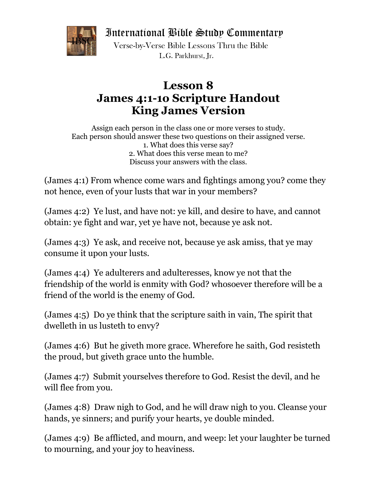International Bible Study Commentary



Verse-by-Verse Bible Lessons Thru the Bible L.G. Parkhurst. Ir.

## **Lesson 8 James 4:1-1o Scripture Handout King James Version**

Assign each person in the class one or more verses to study. Each person should answer these two questions on their assigned verse. 1. What does this verse say? 2. What does this verse mean to me? Discuss your answers with the class.

(James 4:1) From whence come wars and fightings among you? come they not hence, even of your lusts that war in your members?

(James 4:2) Ye lust, and have not: ye kill, and desire to have, and cannot obtain: ye fight and war, yet ye have not, because ye ask not.

(James 4:3) Ye ask, and receive not, because ye ask amiss, that ye may consume it upon your lusts.

(James 4:4) Ye adulterers and adulteresses, know ye not that the friendship of the world is enmity with God? whosoever therefore will be a friend of the world is the enemy of God.

(James 4:5) Do ye think that the scripture saith in vain, The spirit that dwelleth in us lusteth to envy?

(James 4:6) But he giveth more grace. Wherefore he saith, God resisteth the proud, but giveth grace unto the humble.

(James 4:7) Submit yourselves therefore to God. Resist the devil, and he will flee from you.

(James 4:8) Draw nigh to God, and he will draw nigh to you. Cleanse your hands, ye sinners; and purify your hearts, ye double minded.

(James 4:9) Be afflicted, and mourn, and weep: let your laughter be turned to mourning, and your joy to heaviness.